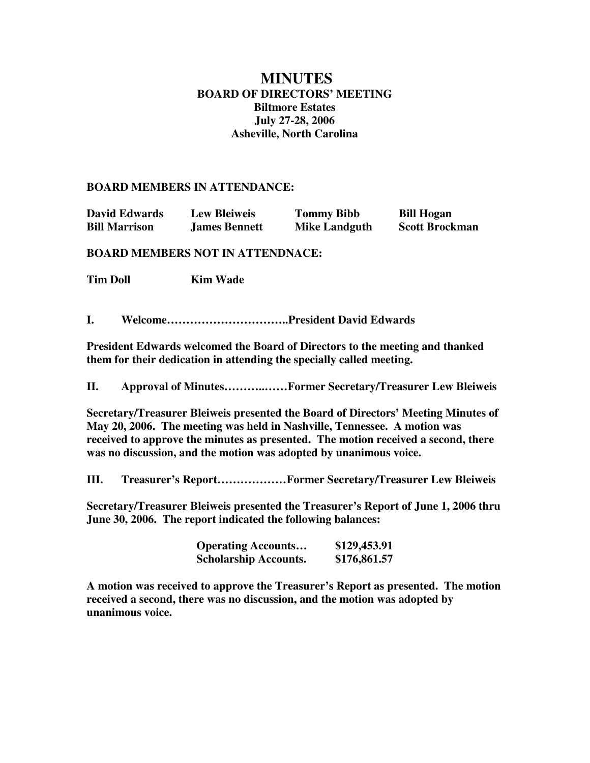# **MINUTES BOARD OF DIRECTORS' MEETING Biltmore Estates July 27-28, 2006 Asheville, North Carolina**

### **BOARD MEMBERS IN ATTENDANCE:**

| <b>David Edwards</b> | <b>Lew Bleiweis</b>  | <b>Tommy Bibb</b>    | <b>Bill Hogan</b>     |
|----------------------|----------------------|----------------------|-----------------------|
| <b>Bill Marrison</b> | <b>James Bennett</b> | <b>Mike Landguth</b> | <b>Scott Brockman</b> |

## **BOARD MEMBERS NOT IN ATTENDNACE:**

**Tim Doll Kim Wade** 

**I. Welcome…………………………..President David Edwards**

**President Edwards welcomed the Board of Directors to the meeting and thanked them for their dedication in attending the specially called meeting.**

**II. Approval of Minutes………..……Former Secretary/Treasurer Lew Bleiweis**

**Secretary/Treasurer Bleiweis presented the Board of Directors' Meeting Minutes of May 20, 2006. The meeting was held in Nashville, Tennessee. A motion was received to approve the minutes as presented. The motion received a second, there was no discussion, and the motion was adopted by unanimous voice.**

**III. Treasurer's Report………………Former Secretary/Treasurer Lew Bleiweis**

**Secretary/Treasurer Bleiweis presented the Treasurer's Report of June 1, 2006 thru June 30, 2006. The report indicated the following balances:**

| <b>Operating Accounts</b>    | \$129,453.91 |
|------------------------------|--------------|
| <b>Scholarship Accounts.</b> | \$176,861.57 |

**A motion was received to approve the Treasurer's Report as presented. The motion received a second, there was no discussion, and the motion was adopted by unanimous voice.**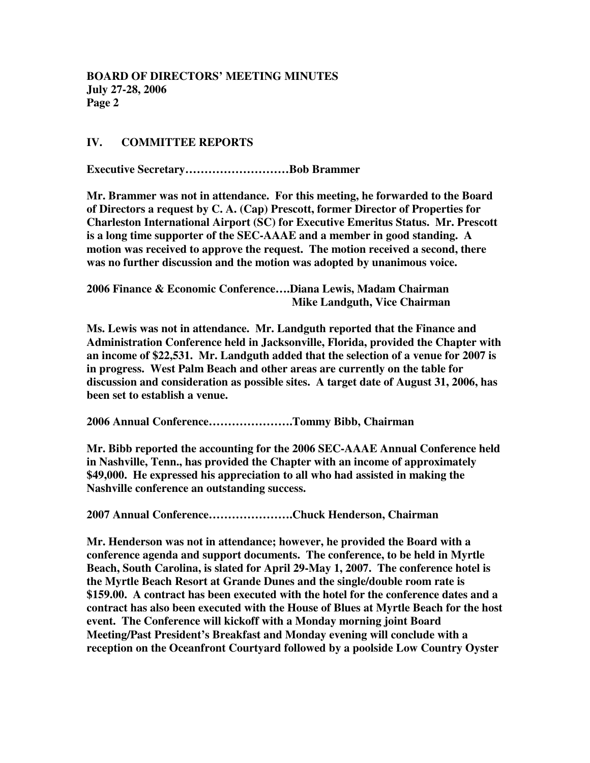# **IV. COMMITTEE REPORTS**

**Executive Secretary………………………Bob Brammer**

**Mr. Brammer was not in attendance. For this meeting, he forwarded to the Board of Directors a request by C. A. (Cap) Prescott, former Director of Properties for Charleston International Airport (SC) for Executive Emeritus Status. Mr. Prescott is a long time supporter of the SEC-AAAE and a member in good standing. A motion was received to approve the request. The motion received a second, there was no further discussion and the motion was adopted by unanimous voice.**

**2006 Finance & Economic Conference….Diana Lewis, Madam Chairman Mike Landguth, Vice Chairman**

**Ms. Lewis was not in attendance. Mr. Landguth reported that the Finance and Administration Conference held in Jacksonville, Florida, provided the Chapter with an income of \$22,531. Mr. Landguth added that the selection of a venue for 2007 is in progress. West Palm Beach and other areas are currently on the table for discussion and consideration as possible sites. A target date of August 31, 2006, has been set to establish a venue.**

**2006 Annual Conference………………….Tommy Bibb, Chairman**

**Mr. Bibb reported the accounting for the 2006 SEC-AAAE Annual Conference held in Nashville, Tenn., has provided the Chapter with an income of approximately \$49,000. He expressed his appreciation to all who had assisted in making the Nashville conference an outstanding success.**

**2007 Annual Conference………………….Chuck Henderson, Chairman**

**Mr. Henderson was not in attendance; however, he provided the Board with a conference agenda and support documents. The conference, to be held in Myrtle Beach, South Carolina, is slated for April 29-May 1, 2007. The conference hotel is the Myrtle Beach Resort at Grande Dunes and the single/double room rate is \$159.00. A contract has been executed with the hotel for the conference dates and a contract has also been executed with the House of Blues at Myrtle Beach for the host event. The Conference will kickoff with a Monday morning joint Board Meeting/Past President's Breakfast and Monday evening will conclude with a reception on the Oceanfront Courtyard followed by a poolside Low Country Oyster**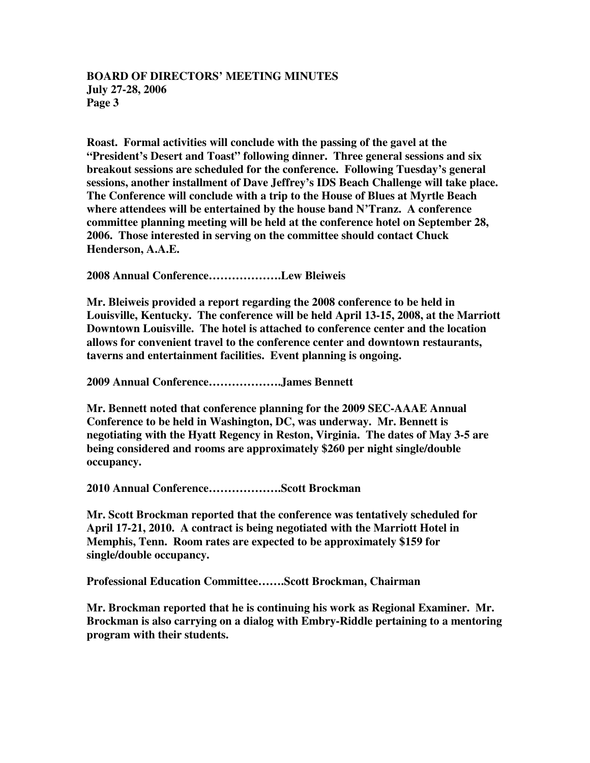# **BOARD OF DIRECTORS' MEETING MINUTES July 27-28, 2006 Page 3**

**Roast. Formal activities will conclude with the passing of the gavel at the "President's Desert and Toast" following dinner. Three general sessions and six breakout sessions are scheduled for the conference. Following Tuesday's general sessions, another installment of Dave Jeffrey's IDS Beach Challenge will take place. The Conference will conclude with a trip to the House of Blues at Myrtle Beach where attendees will be entertained by the house band N'Tranz. A conference committee planning meeting will be held at the conference hotel on September 28, 2006. Those interested in serving on the committee should contact Chuck Henderson, A.A.E.**

**2008 Annual Conference……………….Lew Bleiweis**

**Mr. Bleiweis provided a report regarding the 2008 conference to be held in Louisville, Kentucky. The conference will be held April 13-15, 2008, at the Marriott Downtown Louisville. The hotel is attached to conference center and the location allows for convenient travel to the conference center and downtown restaurants, taverns and entertainment facilities. Event planning is ongoing.**

**2009 Annual Conference……………….James Bennett**

**Mr. Bennett noted that conference planning for the 2009 SEC-AAAE Annual Conference to be held in Washington, DC, was underway. Mr. Bennett is negotiating with the Hyatt Regency in Reston, Virginia. The dates of May 3-5 are being considered and rooms are approximately \$260 per night single/double occupancy.**

**2010 Annual Conference……………….Scott Brockman**

**Mr. Scott Brockman reported that the conference was tentatively scheduled for April 17-21, 2010. A contract is being negotiated with the Marriott Hotel in Memphis, Tenn. Room rates are expected to be approximately \$159 for single/double occupancy.**

**Professional Education Committee…….Scott Brockman, Chairman**

**Mr. Brockman reported that he is continuing his work as Regional Examiner. Mr. Brockman is also carrying on a dialog with Embry-Riddle pertaining to a mentoring program with their students.**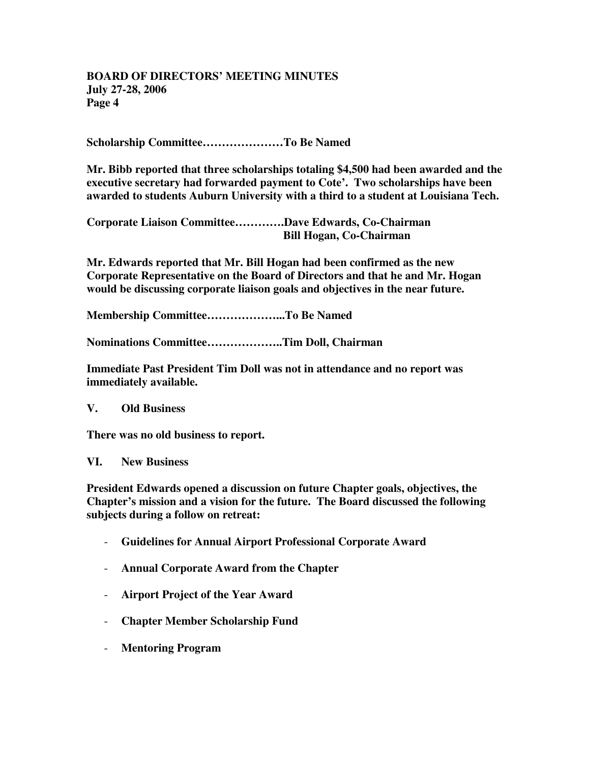# **BOARD OF DIRECTORS' MEETING MINUTES July 27-28, 2006 Page 4**

**Scholarship Committee…………………To Be Named**

**Mr. Bibb reported that three scholarships totaling \$4,500 had been awarded and the executive secretary had forwarded payment to Cote'. Two scholarships have been awarded to students Auburn University with a third to a student at Louisiana Tech.**

**Corporate Liaison Committee………….Dave Edwards, Co-Chairman Bill Hogan, Co-Chairman**

**Mr. Edwards reported that Mr. Bill Hogan had been confirmed as the new Corporate Representative on the Board of Directors and that he and Mr. Hogan would be discussing corporate liaison goals and objectives in the near future.**

**Membership Committee………………...To Be Named**

**Nominations Committee………………..Tim Doll, Chairman**

**Immediate Past President Tim Doll was not in attendance and no report was immediately available.**

#### **V. Old Business**

**There was no old business to report.**

#### **VI. New Business**

**President Edwards opened a discussion on future Chapter goals, objectives, the Chapter's mission and a vision for the future. The Board discussed the following subjects during a follow on retreat:**

- **Guidelines for Annual Airport Professional Corporate Award**
- **Annual Corporate Award from the Chapter**
- **Airport Project of the Year Award**
- **Chapter Member Scholarship Fund**
- **Mentoring Program**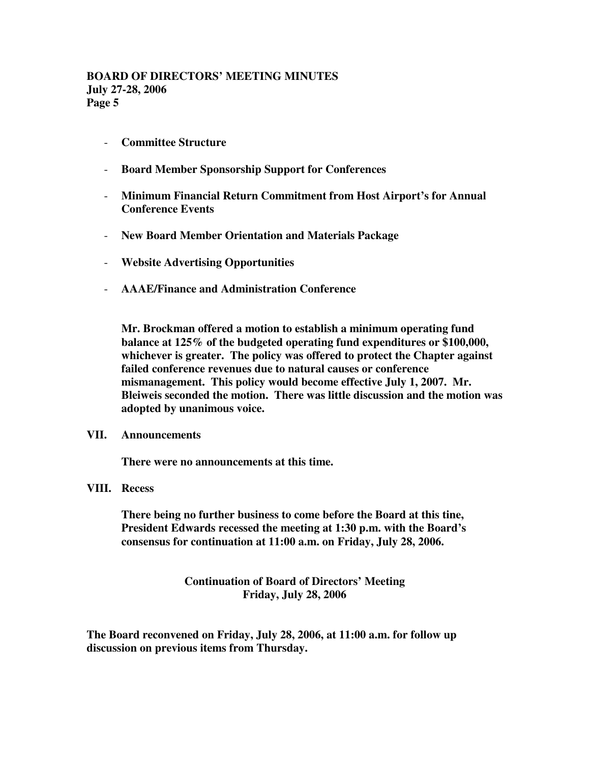- **Committee Structure**
- **Board Member Sponsorship Support for Conferences**
- **Minimum Financial Return Commitment from Host Airport's for Annual Conference Events**
- **New Board Member Orientation and Materials Package**
- **Website Advertising Opportunities**
- **AAAE/Finance and Administration Conference**

**Mr. Brockman offered a motion to establish a minimum operating fund balance at 125% of the budgeted operating fund expenditures or \$100,000, whichever is greater. The policy was offered to protect the Chapter against failed conference revenues due to natural causes or conference mismanagement. This policy would become effective July 1, 2007. Mr. Bleiweis seconded the motion. There was little discussion and the motion was adopted by unanimous voice.**

#### **VII. Announcements**

**There were no announcements at this time.**

# **VIII. Recess**

**There being no further business to come before the Board at this tine, President Edwards recessed the meeting at 1:30 p.m. with the Board's consensus for continuation at 11:00 a.m. on Friday, July 28, 2006.**

> **Continuation of Board of Directors' Meeting Friday, July 28, 2006**

**The Board reconvened on Friday, July 28, 2006, at 11:00 a.m. for follow up discussion on previous items from Thursday.**